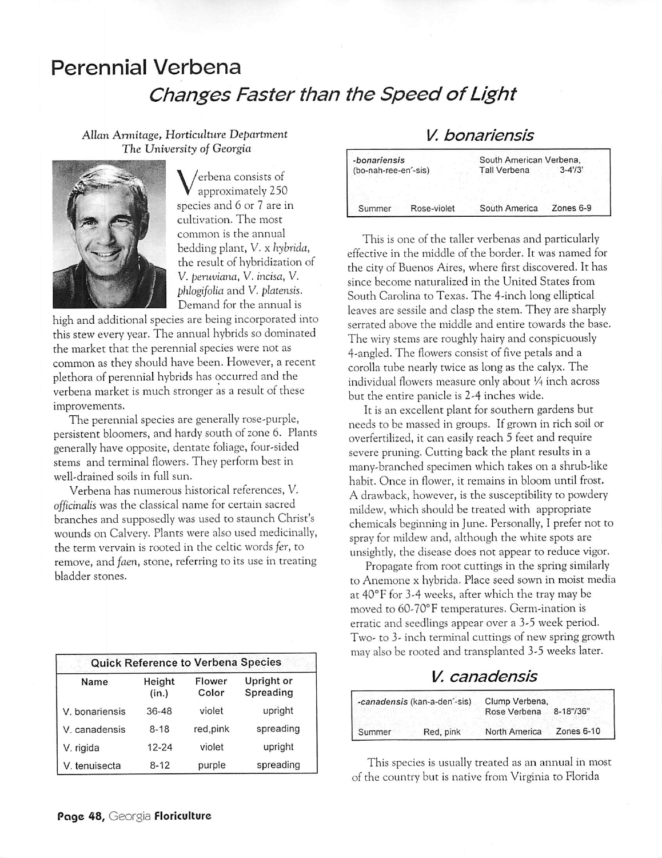# Perennial Verbena **Changes** Faster than the Speed of Light

Allan **Armitage, Horticulture Department The University of Georgia**



**V** erbena consists of approximately 250 species and 6 or 7 are in cultivation. The most common is the annual bedding plant, V. x **hybrida,** the result of hybridization of V. **peruviana,** V. **incisa,** V. **phlogifolia** and V. **platensis.** Demand for the annual is

high and additional species are being incorporated into this stew every year. The annual hybrids so dominated the market that the perennial species were not as common as they should have been. However, a recent plethora of perennial hybrids has occurred and the verbena market is much stronger as a result of these improvements.

The perennial species are generally rose-purple, persistent bloomers, and hardy south of zone 6. Plants generally have opposite, dentate foliage, four-sided stems and terminal flowers. They perform best in well-drained soils in full sun.

Verbena has numerous historical references, V. **officinalis** was the classical name for certain sacred branches and supposedly was used to staunch Christ's wounds on Calvery. Plants were also used medicinally, the term vervain is rooted in the Celtic words **fer,** to remove, and **faen,** stone, referring to its use in treating bladder stones.

| <b>Quick Reference to Verbena Species</b> |                 |                 |                         |  |
|-------------------------------------------|-----------------|-----------------|-------------------------|--|
| Name                                      | Height<br>(in.) | Flower<br>Color | Upright or<br>Spreading |  |
| V. bonariensis                            | 36-48           | violet          | upright                 |  |
| V. canadensis                             | $8 - 18$        | red, pink       | spreading               |  |
| V. rigida                                 | $12 - 24$       | violet          | upright                 |  |
| V. tenuisecta                             | $8 - 12$        | purple          | spreading               |  |

## **V. bonariensis**

| -bonariensis          | South American Verbena, |            |
|-----------------------|-------------------------|------------|
| (bo-nah-ree-en'-sis)  | <b>Tall Verbena</b>     | $3 - 4/3'$ |
|                       |                         |            |
|                       |                         |            |
| Rose-violet<br>Summer | South America           | Zones 6-9  |

This is one of the taller verbenas and particularly effective in the middle of the border. It was named for the city of Buenos Aires, where first discovered. It has since become naturalized in the United States from South Carolina to Texas. The 4-inch long elliptical leaves are sessile and clasp the stem. They are sharply serrated above the middle and entire towards the base. The wiry stems are roughly hairy and conspicuously 4-angled. The flowers consist of five petals and a corolla tube nearly twice as long as the calyx. The individual flowers measure only about 1/<sub>4</sub> inch across but the entire panicle is 2-4 inches wide.

It is an excellent plant for southern gardens but needs to be massed in groups. If grown in rich soil or overfertilized, it can easily reach 5 feet and require severe pruning. Cutting back the plant results in a many-branched specimen which takes on a shrub-like habit. Once in flower, it remains in bloom until frost. A drawback, however, is the susceptibility to powdery mildew, which should be treated with appropriate chemicals beginning in June. Personally, I prefer not to spray for mildew and, although the white spots are unsightly, the disease does not appear to reduce vigor.

Propagate from root cuttings in the spring similarly to Anemone x hybrida. Place seed sown in moist media at 40°F for 3-4 weeks, after which the tray may be moved to 60-70°F temperatures. Germ-ination is erratic and seedlings appear over a 3-5 week period. Two- to 3- inch terminal cuttings of new spring growth may alsobe rooted and transplanted 3-5 weeks later.

### **V. canadensis**

| -canadensis (kan-a-den'-sis) |           | Clump Verbena,<br>Rose Verbena | 8-18"/36"    |
|------------------------------|-----------|--------------------------------|--------------|
| Summer                       | Red, pink | North America                  | Zones $6-10$ |

This species is usually treated as an annual in most of the country but is native from Virginia to Florida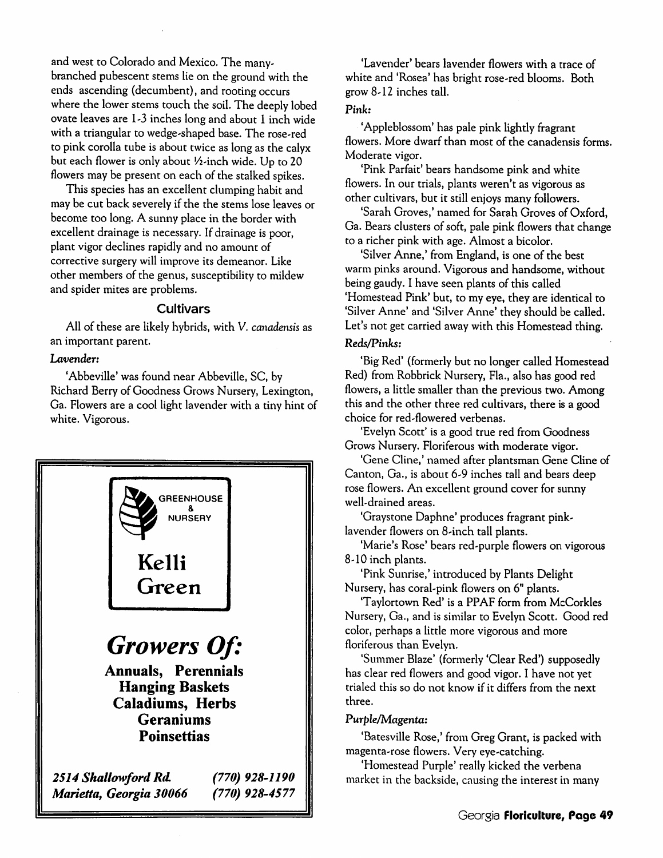and west to Colorado and Mexico. The manybranched pubescent stems lie on the ground with the ends ascending (decumbent), and rooting occurs where the lower stems touch the soil. The deeply lobed ovate leaves are 1-3 inches long and about 1 inch wide with a triangular to wedge-shaped base. The rose-red to pink corolla tube is about twice as long as the calyx but each flower is only about *1/2*-inch wide. Up to 20 flowers may be present on each of the stalked spikes.

This species has an excellent clumping habit and may be cut back severely if the the stems lose leaves or become too long. A sunny place in the border with excellent drainage is necessary. If drainage is poor, plant vigor declines rapidly and no amount of corrective surgery will improve its demeanor. Like other members of the genus, susceptibility to mildew and spider mites are problems.

#### *Cultivars*

All of these are likely hybrids, with V. **canadensis** as an important parent.

#### **Lavender:**

'Abbeville' was found near Abbeville, SC, by Richard Berry of Goodness Grows Nursery, Lexington, Ga. Flowers are a cool light lavender with a tiny hint of white. Vigorous.



'Lavender' bears lavender flowers with a trace of white and 'Rosea' has bright rose-red blooms. Both grow 8-12 inches tall.

#### Pink:

'Appleblossom' has pale pink lightly fragrant flowers. More dwarf than most of the canadensis forms. Moderate vigor.

'Pink Parfait' bears handsome pink and white flowers. In our trials, plants weren't as vigorous as other cultivars, but it still enjoys many followers.

'Sarah Groves,' named for Sarah Groves of Oxford, Ga. Bears clusters of soft, pale pink flowers that change to a richer pink with age. Almost a bicolor.

'Silver Anne,' from England, is one of the best warm pinks around. Vigorous and handsome, without being gaudy. I have seen plants of this called 'Homestead Pink' but, to my eye, they are identical to 'Silver Anne' and 'Silver Anne' they should be called. Let's not get carried away with this Homestead thing.

#### **Reds/Pinks:**

'Big Red' (formerly but no longer called Homestead Red) from Robbrick Nursery, Fla., also has good red flowers, a little smaller than the previous two. Among this and the other three red cultivars, there is a good choice for red-flowered verbenas.

'Evelyn Scott' is a good true red from Goodness Grows Nursery. Floriferous with moderate vigor.

'Gene Cline,' named after plantsman Gene Cline of Canton, Ga., is about 6-9 inches tall and bears deep rose flowers. An excellent ground cover for sunny well-drained areas.

'Graystone Daphne' produces fragrant pinklavender flowers on 8-inch tall plants.

'Marie's Rose' bears red-purple flowers on vigorous 8-10 inch plants.

'Pink Sunrise,' introduced by Plants Delight Nursery, has coral-pink flowers on 6" plants.

'Taylortown Red' is a PPAF form from McCorkles Nursery, Ga., and is similar to Evelyn Scott. Good red color, perhaps a little more vigorous and more floriferous than Evelyn.

'Summer Blaze' (formerly 'Clear Red') supposedly has clear red flowers and good vigor. I have not yet trialed this so do not know if it differs from the next three.

#### Purple/Magenta:

'Batesville Rose,' from Greg Grant, is packed with magenta-rose flowers. Very eye-catching.

'Homestead Purple' really kicked the verbena market in the backside, causing the interest in many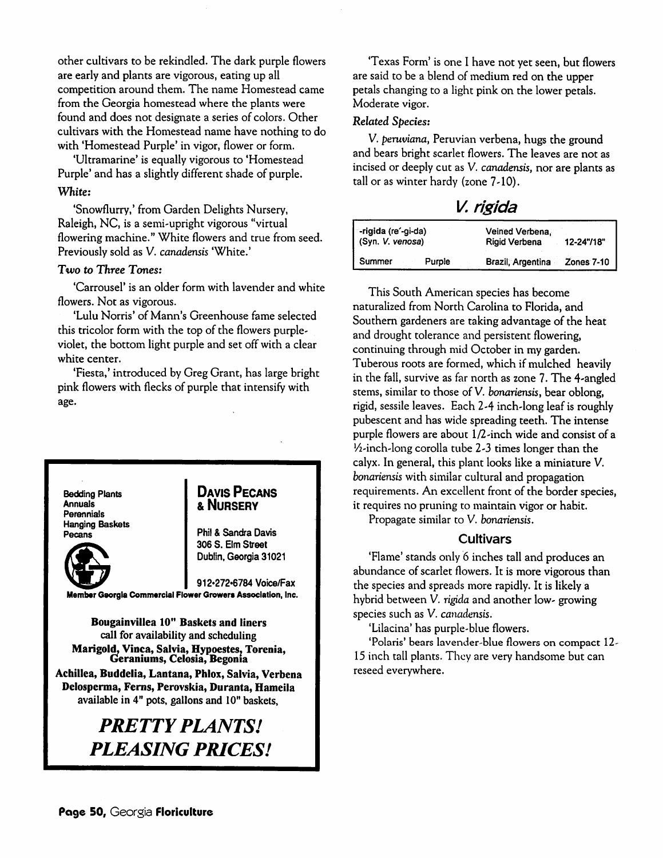other cultivars to be rekindled. The dark purple flowers are early and plants are vigorous, eating up all competition around them. The name Homestead came from the Georgia homestead where the plants were found and does not designate a series of colors. Other cultivars with the Homestead name have nothing to do with 'Homestead Purple' in vigor, flower or form.

'Ultramarine' is equally vigorous to 'Homestead Purple' and has a slightly different shade of purple. *White:*

'Snowflurry,' from Garden Delights Nursery, Raleigh, NC, is a semi-upright vigorous "virtual flowering machine." White flowers and true from seed. Previously sold as V. **canadensis** 'White.'

#### *Two* **to Three Tones:**

'Carrousel' is an older form with lavender and white flowers. Not as vigorous.

'Lulu Norris' of Mann's Greenhouse fame selected this tricolor form with the top of the flowers purpleviolet, the bottom light purple and set off with a clear white center.

'Fiesta,' introduced by Greg Grant, has large bright pink flowers with flecks of purple that intensify with age.

*Bedding Plants Annuals Perennials Hanging Baskets Pecans*

#### *Davis Pecans &Nursery*

*Phil & Sandra Davis 306 S. Elm Street Dublin, Georgia31021*

*912«272'6784 Voice/Fax Member Georgia Commercial Flower Growers Association, Inc.*

*Bougainvillea 10" Baskets and liners call for availability and scheduling Marigold, Vinca, Salvia, Hypoestes, Torenia, Geraniums, Celosia, Begonia*

*Achillea, Buddelia, Lantana, Phlox, Salvia, Verbena Delosperma, Ferns, Perovskia, Duranta, Hameila available in 4" pots, gallons and 10" baskets,*

# *PRETTY PLANTS! PLEASING PRICES!*

'Texas Form' is one I have not yet seen, but flowers are said to be a blend of medium red on the upper petals changing to a light pink on the lower petals. Moderate vigor.

#### Related **Species:**

V. **peruviana,** Peruvian verbena, hugs the ground and bears bright scarlet flowers. The leaves are not as incised or deeply cut as V. *canadensis*, nor are plants as tall or as winter hardy (zone 7-10).

## *V. rig/da*

| -rigida (re'-gi-da)<br>(Syn. V. venosa) | Veined Verbena.<br><b>Rigid Verbena</b> | 12-24"/18"        |
|-----------------------------------------|-----------------------------------------|-------------------|
| Summer<br>Purple                        | Brazil, Argentina                       | <b>Zones 7-10</b> |

This South American species has become naturalized from North Carolina to Florida, and Southern gardeners are taking advantage of the heat and drought tolerance and persistent flowering, continuing through mid October in my garden. Tuberous roots are formed, which if mulched heavily in the fall, survive as far north as zone 7. The 4-angled stems, similar to those of V. **bonariensis,** bear oblong, rigid, sessile leaves. Each 2-4 inch-long leaf is roughly pubescent and has wide spreading teeth. The intense purple flowers are about 1/2-inch wide and consist of a  $\frac{1}{2}$ -inch-long corolla tube 2-3 times longer than the calyx. In general, this plant looks like a miniature V. **bonariensis** with similar cultural and propagation requirements. An excellent front of the border species, it requires no pruning to maintain vigor or habit.

Propagate similar to V. **bonariensis.**

#### *Cultivars*

'Flame'stands only 6 inches tall and produces an abundance of scarlet flowers. It is more vigorous than the species and spreads more rapidly. It is likely a hybrid between V. **rigida** and another low-growing species such as V. *canadensis*.

'Lilacina' has purple-blue flowers.

'Polaris' bears lavender-blue flowers on compact 12- 15 inch tall plants. They are very handsome but can reseed everywhere.